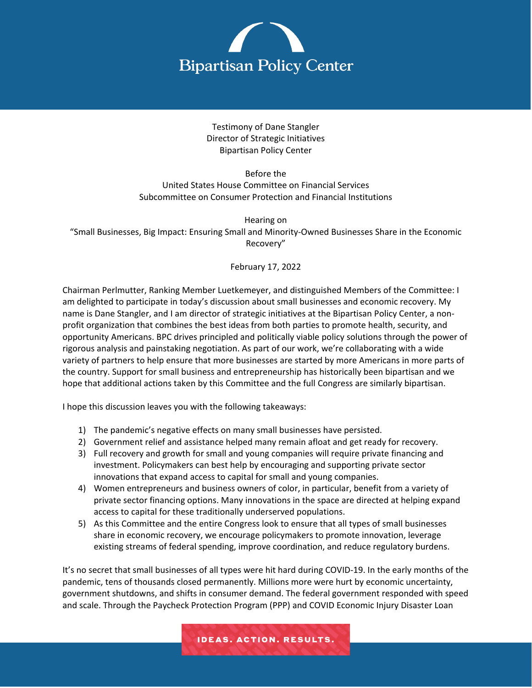

Testimony of Dane Stangler Director of Strategic Initiatives Bipartisan Policy Center

Before the United States House Committee on Financial Services Subcommittee on Consumer Protection and Financial Institutions

Hearing on "Small Businesses, Big Impact: Ensuring Small and Minority-Owned Businesses Share in the Economic Recovery"

# February 17, 2022

Chairman Perlmutter, Ranking Member Luetkemeyer, and distinguished Members of the Committee: I am delighted to participate in today's discussion about small businesses and economic recovery. My name is Dane Stangler, and I am director of strategic initiatives at the Bipartisan Policy Center, a nonprofit organization that combines the best ideas from both parties to promote health, security, and opportunity Americans. BPC drives principled and politically viable policy solutions through the power of rigorous analysis and painstaking negotiation. As part of our work, we're collaborating with a wide variety of partners to help ensure that more businesses are started by more Americans in more parts of the country. Support for small business and entrepreneurship has historically been bipartisan and we hope that additional actions taken by this Committee and the full Congress are similarly bipartisan.

I hope this discussion leaves you with the following takeaways:

- 1) The pandemic's negative effects on many small businesses have persisted.
- 2) Government relief and assistance helped many remain afloat and get ready for recovery.
- 3) Full recovery and growth for small and young companies will require private financing and investment. Policymakers can best help by encouraging and supporting private sector innovations that expand access to capital for small and young companies.
- 4) Women entrepreneurs and business owners of color, in particular, benefit from a variety of private sector financing options. Many innovations in the space are directed at helping expand access to capital for these traditionally underserved populations.
- 5) As this Committee and the entire Congress look to ensure that all types of small businesses share in economic recovery, we encourage policymakers to promote innovation, leverage existing streams of federal spending, improve coordination, and reduce regulatory burdens.

It's no secret that small businesses of all types were hit hard during COVID-19. In the early months of the pandemic, tens of thousands closed permanently. Millions more were hurt by economic uncertainty, government shutdowns, and shifts in consumer demand. The federal government responded with speed and scale. Through the Paycheck Protection Program (PPP) and COVID Economic Injury Disaster Loan

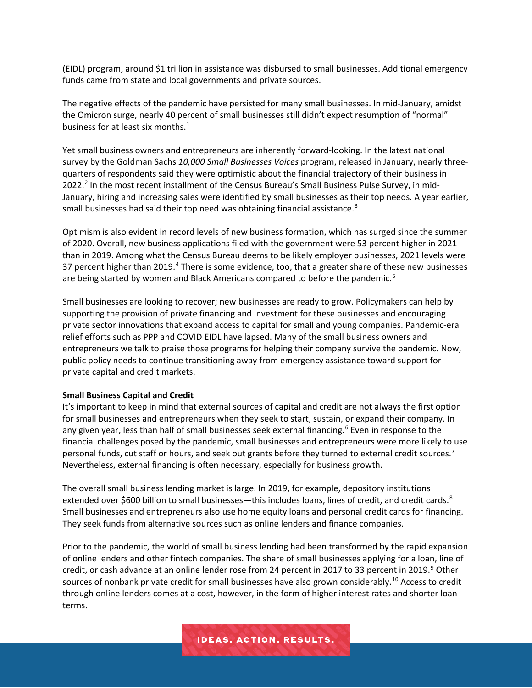(EIDL) program, around \$1 trillion in assistance was disbursed to small businesses. Additional emergency funds came from state and local governments and private sources.

The negative effects of the pandemic have persisted for many small businesses. In mid-January, amidst the Omicron surge, nearly 40 percent of small businesses still didn't expect resumption of "normal" business for at least six months. $<sup>1</sup>$  $<sup>1</sup>$  $<sup>1</sup>$ </sup>

Yet small business owners and entrepreneurs are inherently forward-looking. In the latest national survey by the Goldman Sachs *10,000 Small Businesses Voices* program, released in January, nearly threequarters of respondents said they were optimistic about the financial trajectory of their business in [2](#page-3-1)022.<sup>2</sup> In the most recent installment of the Census Bureau's Small Business Pulse Survey, in mid-January, hiring and increasing sales were identified by small businesses as their top needs. A year earlier, small businesses had said their top need was obtaining financial assistance.<sup>[3](#page-4-0)</sup>

Optimism is also evident in record levels of new business formation, which has surged since the summer of 2020. Overall, new business applications filed with the government were 53 percent higher in 2021 than in 2019. Among what the Census Bureau deems to be likely employer businesses, 2021 levels were 37 percent higher than 2019.<sup>[4](#page-4-1)</sup> There is some evidence, too, that a greater share of these new businesses are being started by women and Black Americans compared to before the pandemic.<sup>[5](#page-4-2)</sup>

Small businesses are looking to recover; new businesses are ready to grow. Policymakers can help by supporting the provision of private financing and investment for these businesses and encouraging private sector innovations that expand access to capital for small and young companies. Pandemic-era relief efforts such as PPP and COVID EIDL have lapsed. Many of the small business owners and entrepreneurs we talk to praise those programs for helping their company survive the pandemic. Now, public policy needs to continue transitioning away from emergency assistance toward support for private capital and credit markets.

#### **Small Business Capital and Credit**

It's important to keep in mind that external sources of capital and credit are not always the first option for small businesses and entrepreneurs when they seek to start, sustain, or expand their company. In any given year, less than half of small businesses seek external financing.<sup>[6](#page-4-3)</sup> Even in response to the financial challenges posed by the pandemic, small businesses and entrepreneurs were more likely to use personal funds, cut staff or hours, and seek out grants before they turned to external credit sources.<sup>[7](#page-4-4)</sup> Nevertheless, external financing is often necessary, especially for business growth.

The overall small business lending market is large. In 2019, for example, depository institutions extended over \$600 billion to small businesses—this includes loans, lines of credit, and credit cards.<sup>[8](#page-4-5)</sup> Small businesses and entrepreneurs also use home equity loans and personal credit cards for financing. They seek funds from alternative sources such as online lenders and finance companies.

Prior to the pandemic, the world of small business lending had been transformed by the rapid expansion of online lenders and other fintech companies. The share of small businesses applying for a loan, line of credit, or cash advance at an online lender rose from 24 percent in 2017 to 33 percent in 201[9](#page-4-6).<sup>9</sup> Other sources of nonbank private credit for small businesses have also grown considerably.<sup>[10](#page-4-7)</sup> Access to credit through online lenders comes at a cost, however, in the form of higher interest rates and shorter loan terms.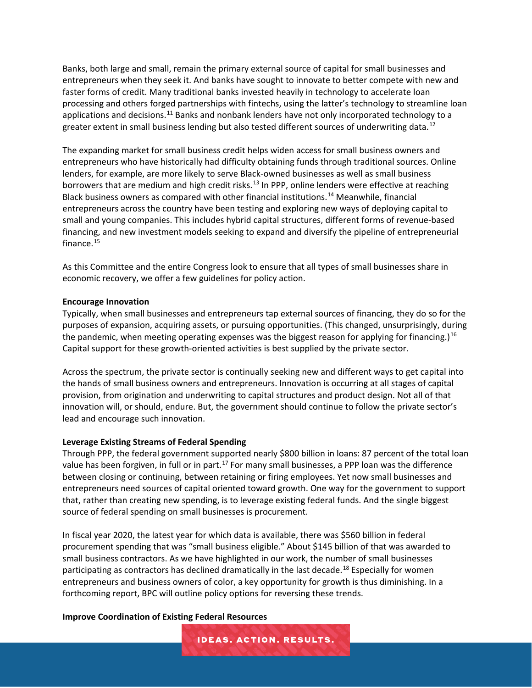Banks, both large and small, remain the primary external source of capital for small businesses and entrepreneurs when they seek it. And banks have sought to innovate to better compete with new and faster forms of credit. Many traditional banks invested heavily in technology to accelerate loan processing and others forged partnerships with fintechs, using the latter's technology to streamline loan applications and decisions.<sup>[11](#page-4-8)</sup> Banks and nonbank lenders have not only incorporated technology to a greater extent in small business lending but also tested different sources of underwriting data.<sup>[12](#page-4-9)</sup>

The expanding market for small business credit helps widen access for small business owners and entrepreneurs who have historically had difficulty obtaining funds through traditional sources. Online lenders, for example, are more likely to serve Black-owned businesses as well as small business borrowers that are medium and high credit risks.<sup>[13](#page-4-10)</sup> In PPP, online lenders were effective at reaching Black business owners as compared with other financial institutions.[14](#page-4-11) Meanwhile, financial entrepreneurs across the country have been testing and exploring new ways of deploying capital to small and young companies. This includes hybrid capital structures, different forms of revenue-based financing, and new investment models seeking to expand and diversify the pipeline of entrepreneurial finance. $15$ 

As this Committee and the entire Congress look to ensure that all types of small businesses share in economic recovery, we offer a few guidelines for policy action.

#### **Encourage Innovation**

Typically, when small businesses and entrepreneurs tap external sources of financing, they do so for the purposes of expansion, acquiring assets, or pursuing opportunities. (This changed, unsurprisingly, during the pandemic, when meeting operating expenses was the biggest reason for applying for financing.)<sup>[16](#page-4-13)</sup> Capital support for these growth-oriented activities is best supplied by the private sector.

Across the spectrum, the private sector is continually seeking new and different ways to get capital into the hands of small business owners and entrepreneurs. Innovation is occurring at all stages of capital provision, from origination and underwriting to capital structures and product design. Not all of that innovation will, or should, endure. But, the government should continue to follow the private sector's lead and encourage such innovation.

#### **Leverage Existing Streams of Federal Spending**

Through PPP, the federal government supported nearly \$800 billion in loans: 87 percent of the total loan value has been forgiven, in full or in part.<sup>[17](#page-4-14)</sup> For many small businesses, a PPP loan was the difference between closing or continuing, between retaining or firing employees. Yet now small businesses and entrepreneurs need sources of capital oriented toward growth. One way for the government to support that, rather than creating new spending, is to leverage existing federal funds. And the single biggest source of federal spending on small businesses is procurement.

In fiscal year 2020, the latest year for which data is available, there was \$560 billion in federal procurement spending that was "small business eligible." About \$145 billion of that was awarded to small business contractors. As we have highlighted in our work, the number of small businesses participating as contractors has declined dramatically in the last decade.<sup>[18](#page-4-15)</sup> Especially for women entrepreneurs and business owners of color, a key opportunity for growth is thus diminishing. In a forthcoming report, BPC will outline policy options for reversing these trends.

**IDEAS. ACTION. RESULTS.** 

#### **Improve Coordination of Existing Federal Resources**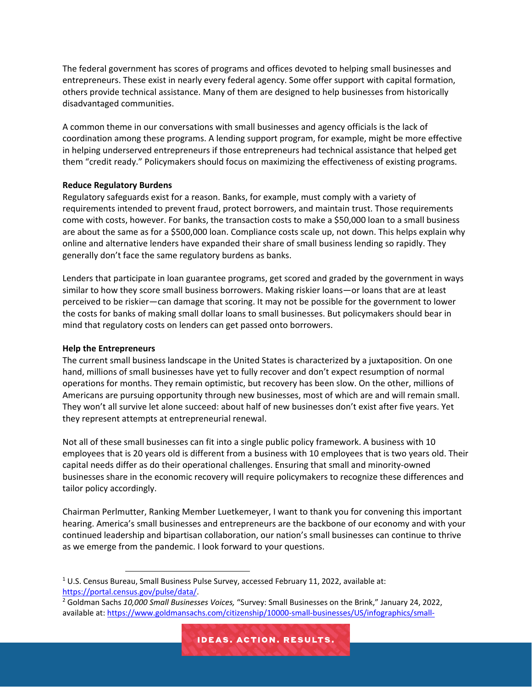The federal government has scores of programs and offices devoted to helping small businesses and entrepreneurs. These exist in nearly every federal agency. Some offer support with capital formation, others provide technical assistance. Many of them are designed to help businesses from historically disadvantaged communities.

A common theme in our conversations with small businesses and agency officials is the lack of coordination among these programs. A lending support program, for example, might be more effective in helping underserved entrepreneurs if those entrepreneurs had technical assistance that helped get them "credit ready." Policymakers should focus on maximizing the effectiveness of existing programs.

## **Reduce Regulatory Burdens**

Regulatory safeguards exist for a reason. Banks, for example, must comply with a variety of requirements intended to prevent fraud, protect borrowers, and maintain trust. Those requirements come with costs, however. For banks, the transaction costs to make a \$50,000 loan to a small business are about the same as for a \$500,000 loan. Compliance costs scale up, not down. This helps explain why online and alternative lenders have expanded their share of small business lending so rapidly. They generally don't face the same regulatory burdens as banks.

Lenders that participate in loan guarantee programs, get scored and graded by the government in ways similar to how they score small business borrowers. Making riskier loans—or loans that are at least perceived to be riskier—can damage that scoring. It may not be possible for the government to lower the costs for banks of making small dollar loans to small businesses. But policymakers should bear in mind that regulatory costs on lenders can get passed onto borrowers.

### **Help the Entrepreneurs**

The current small business landscape in the United States is characterized by a juxtaposition. On one hand, millions of small businesses have yet to fully recover and don't expect resumption of normal operations for months. They remain optimistic, but recovery has been slow. On the other, millions of Americans are pursuing opportunity through new businesses, most of which are and will remain small. They won't all survive let alone succeed: about half of new businesses don't exist after five years. Yet they represent attempts at entrepreneurial renewal.

Not all of these small businesses can fit into a single public policy framework. A business with 10 employees that is 20 years old is different from a business with 10 employees that is two years old. Their capital needs differ as do their operational challenges. Ensuring that small and minority-owned businesses share in the economic recovery will require policymakers to recognize these differences and tailor policy accordingly.

Chairman Perlmutter, Ranking Member Luetkemeyer, I want to thank you for convening this important hearing. America's small businesses and entrepreneurs are the backbone of our economy and with your continued leadership and bipartisan collaboration, our nation's small businesses can continue to thrive as we emerge from the pandemic. I look forward to your questions.

<span id="page-3-0"></span> $1$  U.S. Census Bureau, Small Business Pulse Survey, accessed February 11, 2022, available at: [https://portal.census.gov/pulse/data/.](https://portal.census.gov/pulse/data/)

<span id="page-3-1"></span><sup>2</sup> Goldman Sachs *10,000 Small Businesses Voices,* "Survey: Small Businesses on the Brink," January 24, 2022, available at[: https://www.goldmansachs.com/citizenship/10000-small-businesses/US/infographics/small-](https://www.goldmansachs.com/citizenship/10000-small-businesses/US/infographics/small-businesses-on-the-brink/index.html)